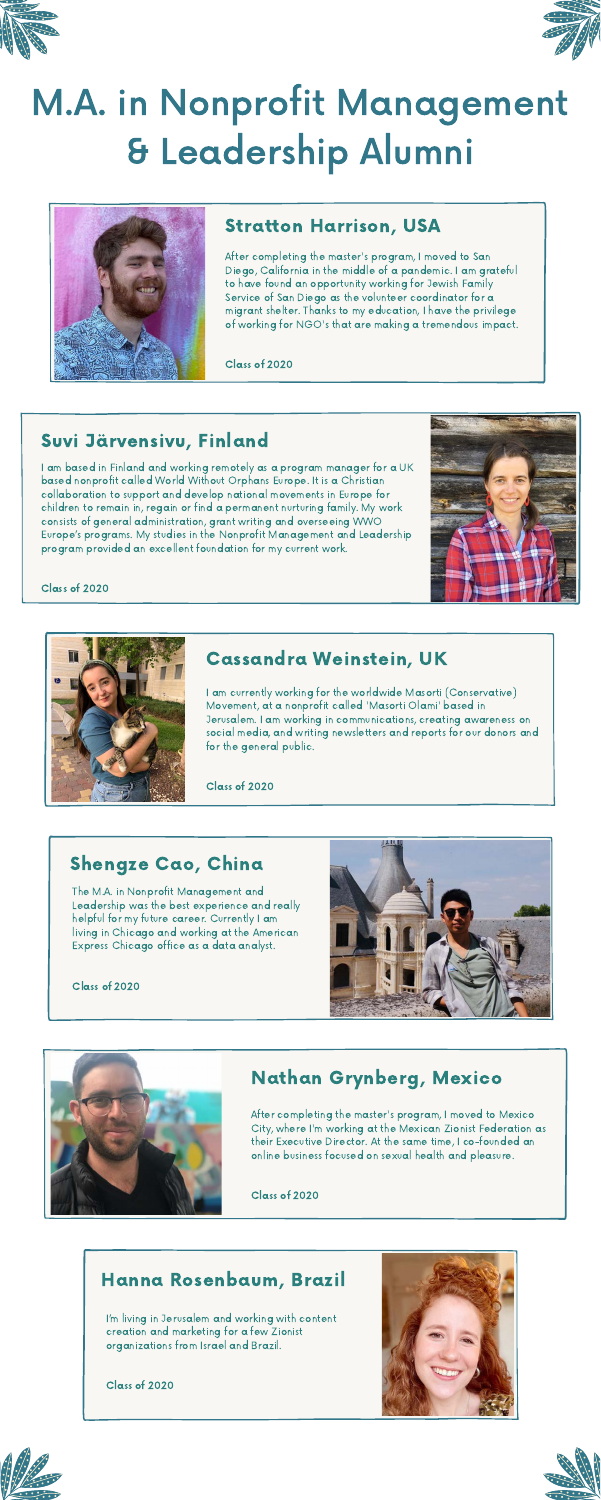



# M.A. in Nonprofit Management & Leadership Alumni



# Stratton Harrison, USA

After completing the master's program, <sup>I</sup> moved to San Diego, California in the middle of <sup>a</sup> pandemic. I am grateful to have found an opportunity working for Jewish Family Service of San Diego as the volunteer coordinator for a migrant shelter. Thanks to my education, <sup>I</sup> have the privilege of working for NGO's that are making <sup>a</sup> tremendous impact.

Class of 2020

#### Suvi Järvensivu, Finland

I am based in Finland and working remotely as a program manager for a UK based nonprofit called World Without Orphans Europe. It is a Christian collaboration to support and develop national movements in Europe for children to remain in, regain or find a permanent nurturing family. My work consists of general administration, grant writing and overseeing WWO Europe's programs. My studies in the Nonprofit Management and Leadership program provided an excellent foundation for my current work.



#### Class of 2020



#### Shengze Cao, China

The M.A. in Nonprofit Management and



Leadership was the best experience and really helpful for my future career. Currently I am living in Chicago and working at the American Express Chicago office as a data analyst.

Class of 2020



# Cassandra Weinstein, UK

<sup>I</sup> am currently working for the worldwide Masorti (Conservative) Movement, at a nonprofit called 'Masorti Olami' based in Jerusalem. <sup>I</sup> am working in communications, creating awareness on social media, and writing newsletters and reports for our donors and for the general public.

Class of 2020

## Hanna Rosenbaum, Brazil

I'm living in Jerusalem and working with content creation and marketing for a few Zionist organizations from Israel and Brazil.

Class of 2020







# Nathan Grynberg, Mexico

After completing the master's program, <sup>I</sup> moved to Mexico City, where I'm working at the Mexican Zionist Federation as their Executive Director. At the same time, I co-founded an online business focused on sexual health and pleasure.

Class of 2020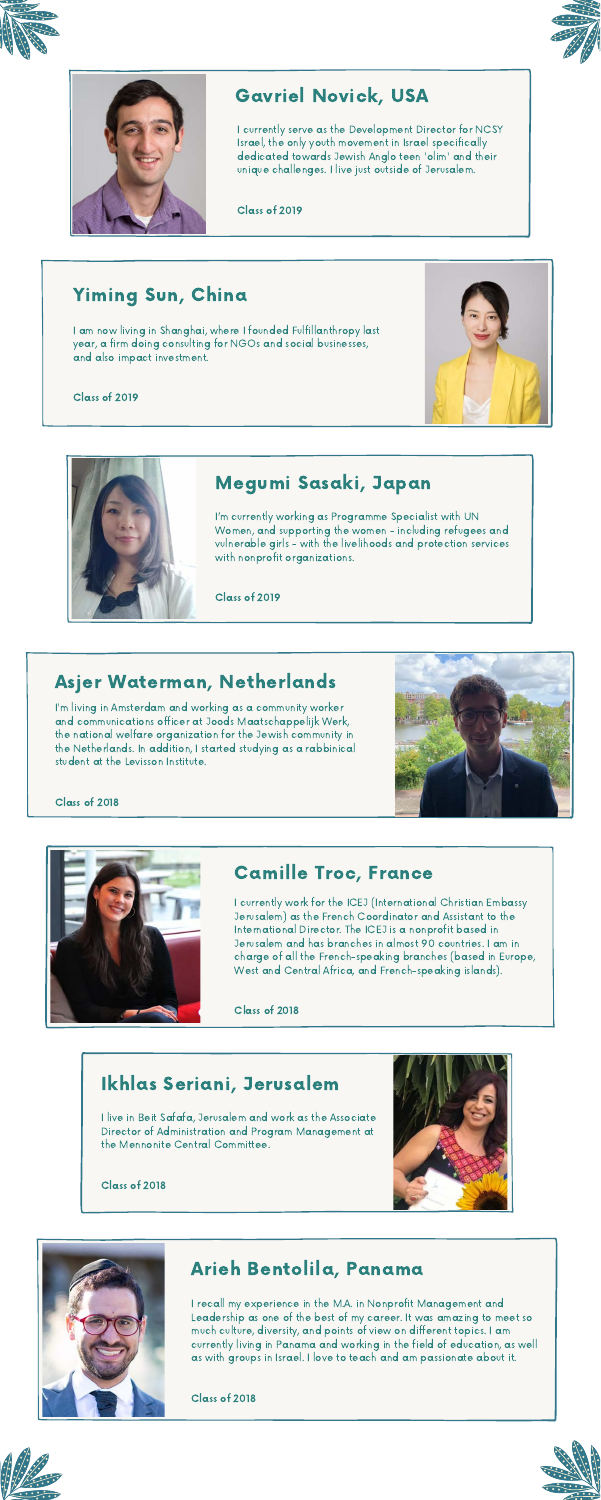I am now living in Shanghai, where I founded Fulfillanthropy last year, a firm doing consulting for NGOs and social businesses, and also impact investment.



#### Class of 2019



# Yiming Sun, China

# Asjer Waterman, Netherlands

I'm living in Amsterdam and working as a community worker and communications officer at Joods Maatschappelijk Werk, the national welfare organization for the Jewish community in the Netherlands. In addition, I started studying as a rabbinical student at the Levisson Institute.



Class of 2018



#### Camille Troc, France

I currently work for the ICEJ (International Christian Embassy Jerusalem) as the French Coordinator and Assistant to the International Director. The ICEJ is a nonprofit based in Jerusalem and has branches in almost 90 countries. I am in charge of all the French-speaking branches (based in Europe, West and Central Africa, and French-speaking islands).

Class of 2018

## Arieh Bentolila, Panama

I recall my experience in the M.A. in Nonprofit Management and Leadership as one of the best of my career. It was amazing to meet so much culture, diversity, and points of view on different topics. I am currently living in Panama and working in the field of education, as well as with groups in Israel. I love to teach and am passionate about it.

#### Class of 2018





I currently serve as the Development Director for NCSY Israel, the only youth movement in Israel specifically dedicated towards Jewish Anglo teen 'olim' and their unique challenges. I live just outside of Jerusalem.

Class of 2019







# Gavriel Novick, USA

# Megumi Sasaki, Japan

I'm currently working as Programme Specialist with UN Women, and supporting the women - including refugees and vulnerable girls - with the livelihoods and protection services with nonprofit organizations.

Class of 2019

## Ikhlas Seriani, Jerusalem

I live in Beit Safafa, Jerusalem and work as the Associate Director of Administration and Program Management at the Mennonite Central Committee.

Class of 2018



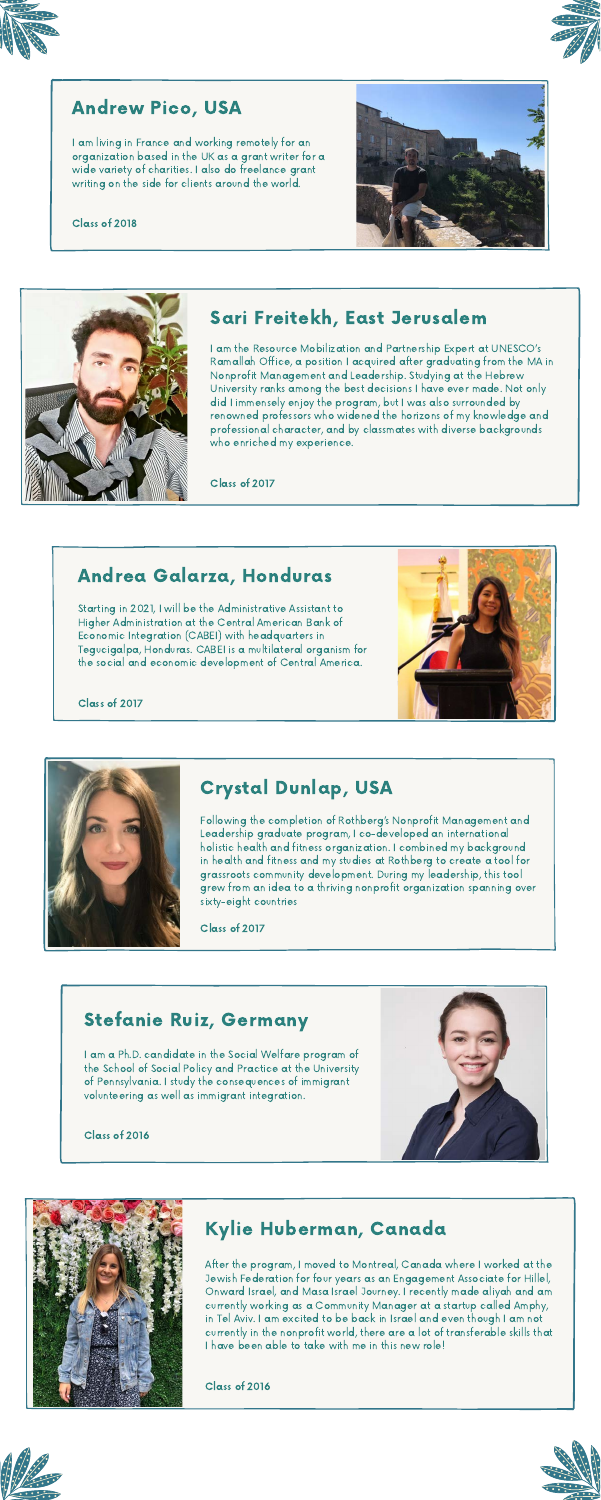



## Andrew Pico, USA

I am living in France and working remotely for an organization based in the UK as a grant writer for a wide variety of charities. I also do freelance grant writing on the side for clients around the world.

#### Class of 2018





# Sari Freitekh, East Jerusalem

I am the Resource Mobilization and Partnership Expert at UNESCO's Ramallah Office, a position I acquired after graduating from the MA in Nonprofit Management and Leadership. Studying at the Hebrew University ranks among the best decisions I have ever made. Not only did I immensely enjoy the program, but I was also surrounded by renowned professors who widened the horizons of my knowledge and professional character, and by classmates with diverse backgrounds who enriched my experience.

Class of 2017

Following the completion of Rothberg's Nonprofit Management and Leadership graduate program, I co-developed an international holistic health and fitness organization. I combined my background in health and fitness and my studies at Rothberg to create a tool for grassroots community development. During my leadership, this tool grew from an idea to a thriving nonprofit organization spanning over

sixty-eight countries

Class of 2017

# Crystal Dunlap, USA

#### Stefanie Ruiz, Germany

I am a Ph.D. candidate in the Social Welfare program of the School of Social Policy and Practice at the University of Pennsylvania. I study the consequences of immigrant volunteering as well as immigrant integration.

#### Class of 2016





## Kylie Huberman, Canada

After the program, I moved to Montreal, Canada where I worked at the Jewish Federation for four years as an Engagement Associate for Hillel, Onward Israel, and Masa Israel Journey. I recently made aliyah and am currently working as a Community Manager at a startup called Amphy, in Tel Aviv. I am excited to be back in Israel and even though I am not currently in the nonprofit world, there are a lot of transferable skills that I have been able to take with me in this new role!

Class of 2016





Starting in 2021, I will be the Administrative Assistant to Higher Administration at the Central American Bank of Economic Integration (CABEI) with headquarters in Tegucigalpa, Honduras. CABEI is a multilateral organism for the social and economic development of Central America.



#### Class of 2017



## Andrea Galarza, Honduras